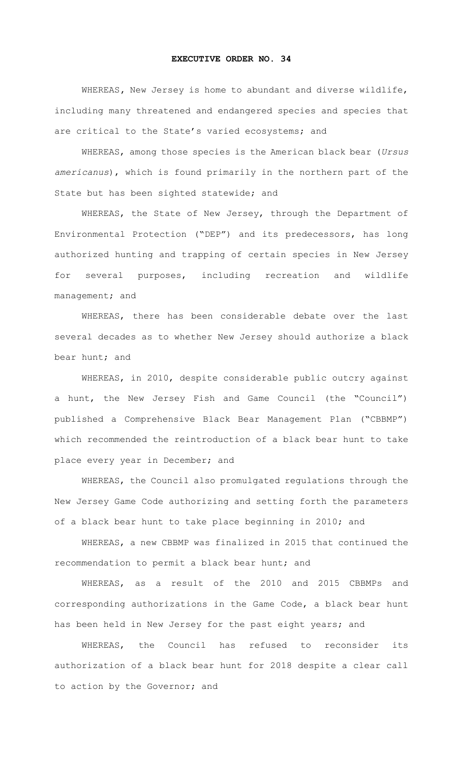## **EXECUTIVE ORDER NO. 34**

WHEREAS**,** New Jersey is home to abundant and diverse wildlife, including many threatened and endangered species and species that are critical to the State's varied ecosystems; and

WHEREAS, among those species is the American black bear (*Ursus americanus*), which is found primarily in the northern part of the State but has been sighted statewide; and

WHEREAS, the State of New Jersey, through the Department of Environmental Protection ("DEP") and its predecessors, has long authorized hunting and trapping of certain species in New Jersey for several purposes, including recreation and wildlife management; and

WHEREAS, there has been considerable debate over the last several decades as to whether New Jersey should authorize a black bear hunt; and

WHEREAS, in 2010, despite considerable public outcry against a hunt, the New Jersey Fish and Game Council (the "Council") published a Comprehensive Black Bear Management Plan ("CBBMP") which recommended the reintroduction of a black bear hunt to take place every year in December; and

WHEREAS, the Council also promulgated regulations through the New Jersey Game Code authorizing and setting forth the parameters of a black bear hunt to take place beginning in 2010; and

WHEREAS, a new CBBMP was finalized in 2015 that continued the recommendation to permit a black bear hunt; and

WHEREAS, as a result of the 2010 and 2015 CBBMPs and corresponding authorizations in the Game Code, a black bear hunt has been held in New Jersey for the past eight years; and

WHEREAS, the Council has refused to reconsider its authorization of a black bear hunt for 2018 despite a clear call to action by the Governor; and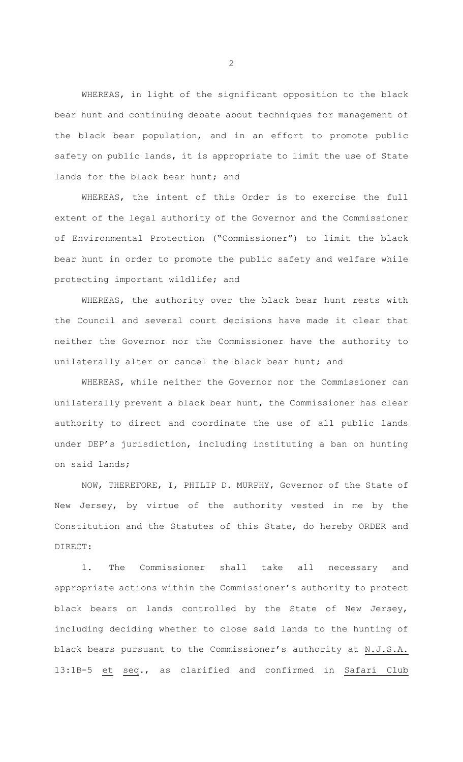WHEREAS, in light of the significant opposition to the black bear hunt and continuing debate about techniques for management of the black bear population, and in an effort to promote public safety on public lands, it is appropriate to limit the use of State lands for the black bear hunt; and

WHEREAS, the intent of this Order is to exercise the full extent of the legal authority of the Governor and the Commissioner of Environmental Protection ("Commissioner") to limit the black bear hunt in order to promote the public safety and welfare while protecting important wildlife; and

WHEREAS, the authority over the black bear hunt rests with the Council and several court decisions have made it clear that neither the Governor nor the Commissioner have the authority to unilaterally alter or cancel the black bear hunt; and

WHEREAS, while neither the Governor nor the Commissioner can unilaterally prevent a black bear hunt, the Commissioner has clear authority to direct and coordinate the use of all public lands under DEP's jurisdiction, including instituting a ban on hunting on said lands;

NOW, THEREFORE, I, PHILIP D. MURPHY, Governor of the State of New Jersey, by virtue of the authority vested in me by the Constitution and the Statutes of this State, do hereby ORDER and DIRECT:

1. The Commissioner shall take all necessary and appropriate actions within the Commissioner's authority to protect black bears on lands controlled by the State of New Jersey, including deciding whether to close said lands to the hunting of black bears pursuant to the Commissioner's authority at N.J.S.A. 13:1B-5 et seq., as clarified and confirmed in Safari Club

2